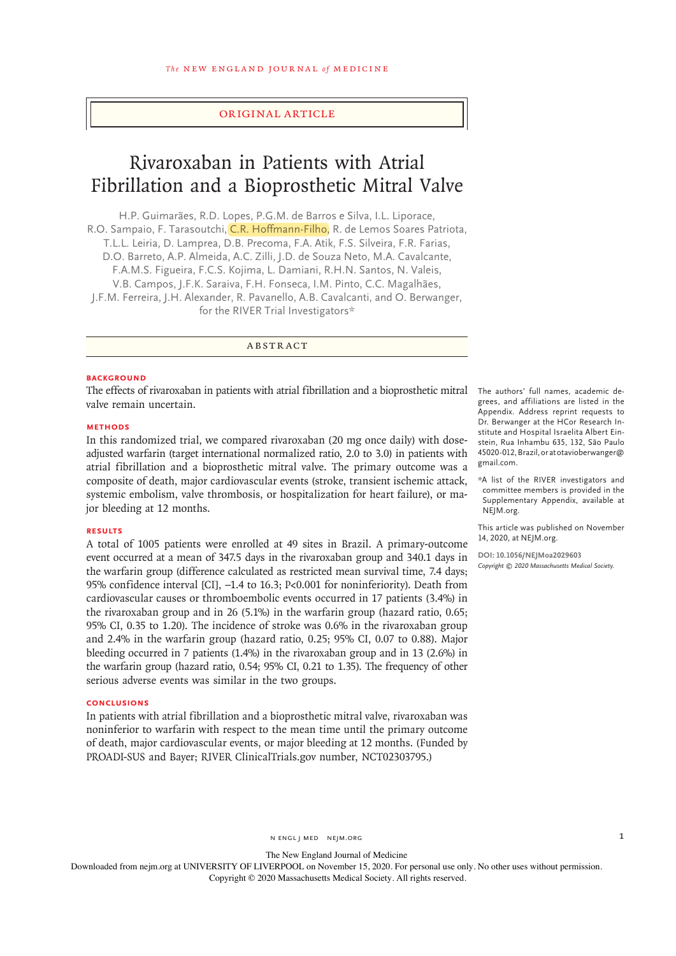### Original Article

# Rivaroxaban in Patients with Atrial Fibrillation and a Bioprosthetic Mitral Valve

H.P. Guimarães, R.D. Lopes, P.G.M. de Barros e Silva, I.L. Liporace, R.O. Sampaio, F. Tarasoutchi, C.R. Hoffmann-Filho, R. de Lemos Soares Patriota, T.L.L. Leiria, D. Lamprea, D.B. Precoma, F.A. Atik, F.S. Silveira, F.R. Farias, D.O. Barreto, A.P. Almeida, A.C. Zilli, J.D. de Souza Neto, M.A. Cavalcante, F.A.M.S. Figueira, F.C.S. Kojima, L. Damiani, R.H.N. Santos, N. Valeis, V.B. Campos, J.F.K. Saraiva, F.H. Fonseca, I.M. Pinto, C.C. Magalhães, J.F.M. Ferreira, J.H. Alexander, R. Pavanello, A.B. Cavalcanti, and O. Berwanger, for the RIVER Trial Investigators\*

# ABSTRACT

### **BACKGROUND**

The effects of rivaroxaban in patients with atrial fibrillation and a bioprosthetic mitral The authors' full names, academic devalve remain uncertain.

# **METHODS**

In this randomized trial, we compared rivaroxaban (20 mg once daily) with doseadjusted warfarin (target international normalized ratio, 2.0 to 3.0) in patients with atrial fibrillation and a bioprosthetic mitral valve. The primary outcome was a composite of death, major cardiovascular events (stroke, transient ischemic attack, systemic embolism, valve thrombosis, or hospitalization for heart failure), or major bleeding at 12 months.

## **RESULTS**

A total of 1005 patients were enrolled at 49 sites in Brazil. A primary-outcome event occurred at a mean of 347.5 days in the rivaroxaban group and 340.1 days in the warfarin group (difference calculated as restricted mean survival time, 7.4 days; 95% confidence interval [CI], −1.4 to 16.3; P<0.001 for noninferiority). Death from cardiovascular causes or thromboembolic events occurred in 17 patients (3.4%) in the rivaroxaban group and in 26 (5.1%) in the warfarin group (hazard ratio, 0.65; 95% CI, 0.35 to 1.20). The incidence of stroke was 0.6% in the rivaroxaban group and 2.4% in the warfarin group (hazard ratio, 0.25; 95% CI, 0.07 to 0.88). Major bleeding occurred in 7 patients (1.4%) in the rivaroxaban group and in 13 (2.6%) in the warfarin group (hazard ratio, 0.54; 95% CI, 0.21 to 1.35). The frequency of other serious adverse events was similar in the two groups.

### **CONCLUSIONS**

In patients with atrial fibrillation and a bioprosthetic mitral valve, rivaroxaban was noninferior to warfarin with respect to the mean time until the primary outcome of death, major cardiovascular events, or major bleeding at 12 months. (Funded by PROADI-SUS and Bayer; RIVER ClinicalTrials.gov number, NCT02303795.)

grees, and affiliations are listed in the Appendix. Address reprint requests to Dr. Berwanger at the HCor Research Institute and Hospital Israelita Albert Einstein, Rua Inhambu 635, 132, São Paulo 45020-012, Brazil, or at otavioberwanger@ gmail.com.

\*A list of the RIVER investigators and committee members is provided in the Supplementary Appendix, available at NEJM.org.

This article was published on November 14, 2020, at NEJM.org.

**DOI: 10.1056/NEJMoa2029603** *Copyright © 2020 Massachusetts Medical Society.*

n engl j med nejm.org 1

The New England Journal of Medicine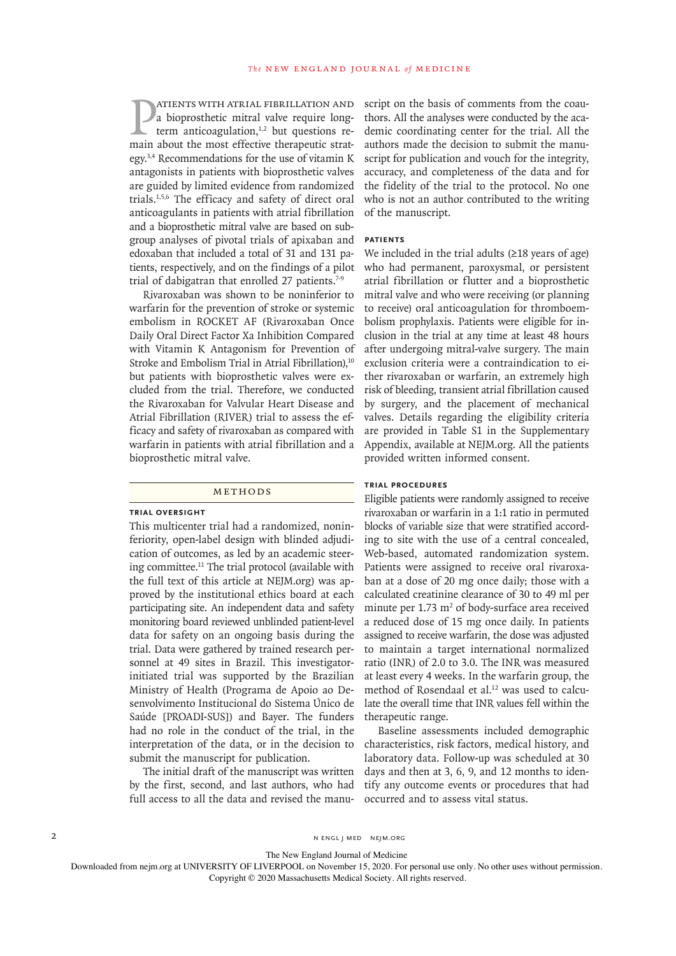**PATIENTS WITH ATRIAL FIBRILLATION AND**<br>a bioprosthetic mitral valve require long-<br>term anticoagulation,<sup>1,2</sup> but questions re-<br>main about the most effective therapeutic stratatients with atrial fibrillation and a bioprosthetic mitral valve require longterm anticoagulation, $1,2$  but questions reegy.3,4 Recommendations for the use of vitamin K antagonists in patients with bioprosthetic valves are guided by limited evidence from randomized trials.1,5,6 The efficacy and safety of direct oral anticoagulants in patients with atrial fibrillation and a bioprosthetic mitral valve are based on subgroup analyses of pivotal trials of apixaban and edoxaban that included a total of 31 and 131 patients, respectively, and on the findings of a pilot trial of dabigatran that enrolled 27 patients. $7-9$ 

Rivaroxaban was shown to be noninferior to warfarin for the prevention of stroke or systemic embolism in ROCKET AF (Rivaroxaban Once Daily Oral Direct Factor Xa Inhibition Compared with Vitamin K Antagonism for Prevention of Stroke and Embolism Trial in Atrial Fibrillation).<sup>10</sup> but patients with bioprosthetic valves were excluded from the trial. Therefore, we conducted the Rivaroxaban for Valvular Heart Disease and Atrial Fibrillation (RIVER) trial to assess the efficacy and safety of rivaroxaban as compared with warfarin in patients with atrial fibrillation and a bioprosthetic mitral valve.

### Methods

# **Trial Oversight**

This multicenter trial had a randomized, noninferiority, open-label design with blinded adjudication of outcomes, as led by an academic steering committee.11 The trial protocol (available with the full text of this article at NEJM.org) was approved by the institutional ethics board at each participating site. An independent data and safety monitoring board reviewed unblinded patient-level data for safety on an ongoing basis during the trial. Data were gathered by trained research personnel at 49 sites in Brazil. This investigatorinitiated trial was supported by the Brazilian Ministry of Health (Programa de Apoio ao Desenvolvimento Institucional do Sistema Único de Saúde [PROADI-SUS]) and Bayer. The funders had no role in the conduct of the trial, in the interpretation of the data, or in the decision to submit the manuscript for publication.

The initial draft of the manuscript was written by the first, second, and last authors, who had full access to all the data and revised the manuscript on the basis of comments from the coauthors. All the analyses were conducted by the academic coordinating center for the trial. All the authors made the decision to submit the manuscript for publication and vouch for the integrity, accuracy, and completeness of the data and for the fidelity of the trial to the protocol. No one who is not an author contributed to the writing of the manuscript.

### **Patients**

We included in the trial adults  $(≥18$  years of age) who had permanent, paroxysmal, or persistent atrial fibrillation or flutter and a bioprosthetic mitral valve and who were receiving (or planning to receive) oral anticoagulation for thromboembolism prophylaxis. Patients were eligible for inclusion in the trial at any time at least 48 hours after undergoing mitral-valve surgery. The main exclusion criteria were a contraindication to either rivaroxaban or warfarin, an extremely high risk of bleeding, transient atrial fibrillation caused by surgery, and the placement of mechanical valves. Details regarding the eligibility criteria are provided in Table S1 in the Supplementary Appendix, available at NEJM.org. All the patients provided written informed consent.

### **Trial Procedures**

Eligible patients were randomly assigned to receive rivaroxaban or warfarin in a 1:1 ratio in permuted blocks of variable size that were stratified according to site with the use of a central concealed, Web-based, automated randomization system. Patients were assigned to receive oral rivaroxaban at a dose of 20 mg once daily; those with a calculated creatinine clearance of 30 to 49 ml per minute per  $1.73 \text{ m}^2$  of body-surface area received a reduced dose of 15 mg once daily. In patients assigned to receive warfarin, the dose was adjusted to maintain a target international normalized ratio (INR) of 2.0 to 3.0. The INR was measured at least every 4 weeks. In the warfarin group, the method of Rosendaal et al.<sup>12</sup> was used to calculate the overall time that INR values fell within the therapeutic range.

Baseline assessments included demographic characteristics, risk factors, medical history, and laboratory data. Follow-up was scheduled at 30 days and then at 3, 6, 9, and 12 months to identify any outcome events or procedures that had occurred and to assess vital status.

2 N ENGL J MED NEJM.ORG

The New England Journal of Medicine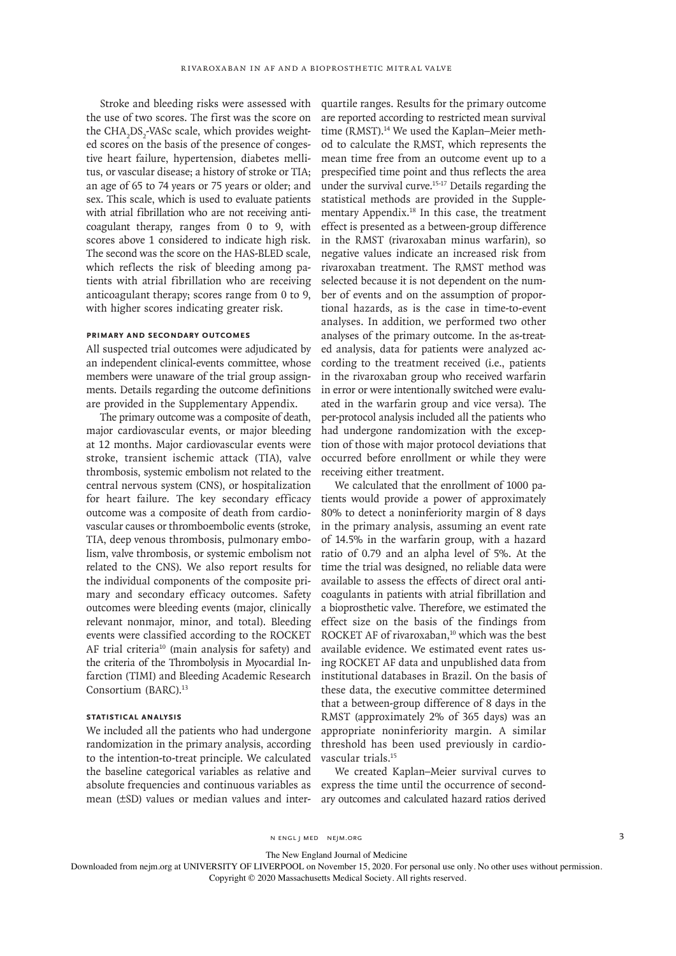Stroke and bleeding risks were assessed with the use of two scores. The first was the score on the CHA<sub>2</sub>DS<sub>2</sub>-VASc scale, which provides weighted scores on the basis of the presence of congestive heart failure, hypertension, diabetes mellitus, or vascular disease; a history of stroke or TIA; an age of 65 to 74 years or 75 years or older; and sex. This scale, which is used to evaluate patients with atrial fibrillation who are not receiving anticoagulant therapy, ranges from 0 to 9, with scores above 1 considered to indicate high risk. The second was the score on the HAS-BLED scale, which reflects the risk of bleeding among patients with atrial fibrillation who are receiving anticoagulant therapy; scores range from 0 to 9, with higher scores indicating greater risk.

## **Primary and Secondary Outcomes**

All suspected trial outcomes were adjudicated by an independent clinical-events committee, whose members were unaware of the trial group assignments. Details regarding the outcome definitions are provided in the Supplementary Appendix.

The primary outcome was a composite of death, major cardiovascular events, or major bleeding at 12 months. Major cardiovascular events were stroke, transient ischemic attack (TIA), valve thrombosis, systemic embolism not related to the central nervous system (CNS), or hospitalization for heart failure. The key secondary efficacy outcome was a composite of death from cardiovascular causes or thromboembolic events (stroke, TIA, deep venous thrombosis, pulmonary embolism, valve thrombosis, or systemic embolism not related to the CNS). We also report results for the individual components of the composite primary and secondary efficacy outcomes. Safety outcomes were bleeding events (major, clinically relevant nonmajor, minor, and total). Bleeding events were classified according to the ROCKET AF trial criteria<sup>10</sup> (main analysis for safety) and the criteria of the Thrombolysis in Myocardial Infarction (TIMI) and Bleeding Academic Research Consortium (BARC).<sup>13</sup>

# **Statistical Analysis**

We included all the patients who had undergone randomization in the primary analysis, according to the intention-to-treat principle. We calculated the baseline categorical variables as relative and absolute frequencies and continuous variables as mean (±SD) values or median values and interquartile ranges. Results for the primary outcome are reported according to restricted mean survival time (RMST).<sup>14</sup> We used the Kaplan–Meier method to calculate the RMST, which represents the mean time free from an outcome event up to a prespecified time point and thus reflects the area under the survival curve.15-17 Details regarding the statistical methods are provided in the Supplementary Appendix.18 In this case, the treatment effect is presented as a between-group difference in the RMST (rivaroxaban minus warfarin), so negative values indicate an increased risk from rivaroxaban treatment. The RMST method was selected because it is not dependent on the number of events and on the assumption of proportional hazards, as is the case in time-to-event analyses. In addition, we performed two other analyses of the primary outcome. In the as-treated analysis, data for patients were analyzed according to the treatment received (i.e., patients in the rivaroxaban group who received warfarin in error or were intentionally switched were evaluated in the warfarin group and vice versa). The per-protocol analysis included all the patients who had undergone randomization with the exception of those with major protocol deviations that occurred before enrollment or while they were receiving either treatment.

We calculated that the enrollment of 1000 patients would provide a power of approximately 80% to detect a noninferiority margin of 8 days in the primary analysis, assuming an event rate of 14.5% in the warfarin group, with a hazard ratio of 0.79 and an alpha level of 5%. At the time the trial was designed, no reliable data were available to assess the effects of direct oral anticoagulants in patients with atrial fibrillation and a bioprosthetic valve. Therefore, we estimated the effect size on the basis of the findings from ROCKET AF of rivaroxaban,<sup>10</sup> which was the best available evidence. We estimated event rates using ROCKET AF data and unpublished data from institutional databases in Brazil. On the basis of these data, the executive committee determined that a between-group difference of 8 days in the RMST (approximately 2% of 365 days) was an appropriate noninferiority margin. A similar threshold has been used previously in cardiovascular trials.15

We created Kaplan–Meier survival curves to express the time until the occurrence of secondary outcomes and calculated hazard ratios derived

n engl j med nejm.org 3

The New England Journal of Medicine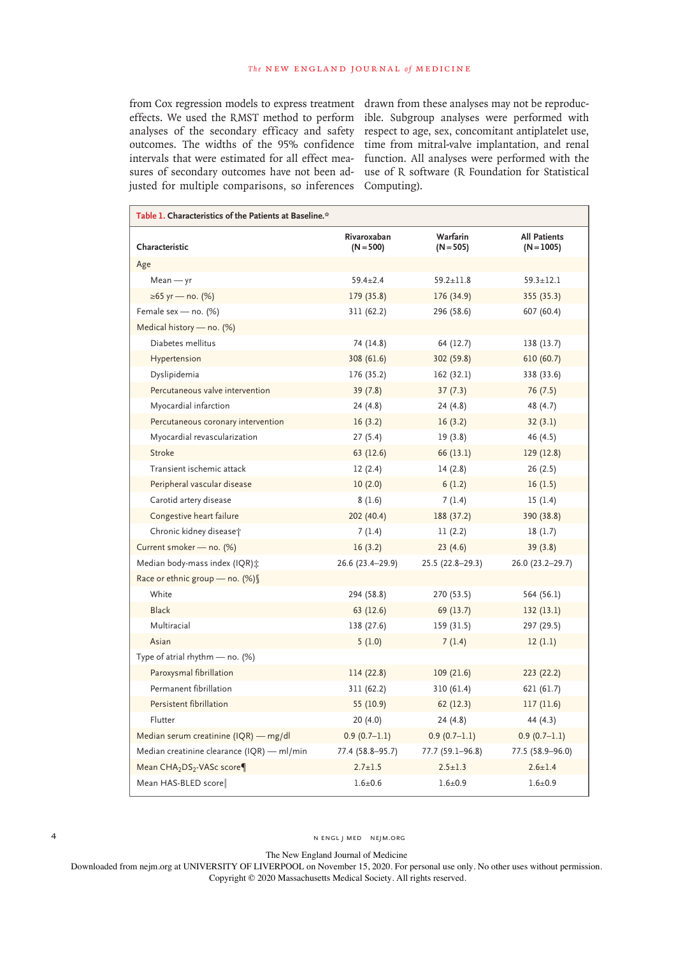from Cox regression models to express treatment drawn from these analyses may not be reproducintervals that were estimated for all effect measures of secondary outcomes have not been adjusted for multiple comparisons, so inferences Computing).

effects. We used the RMST method to perform ible. Subgroup analyses were performed with analyses of the secondary efficacy and safety respect to age, sex, concomitant antiplatelet use, outcomes. The widths of the 95% confidence time from mitral-valve implantation, and renal function. All analyses were performed with the use of R software (R Foundation for Statistical

| Table 1. Characteristics of the Patients at Baseline.* |                            |                         |                                     |
|--------------------------------------------------------|----------------------------|-------------------------|-------------------------------------|
| Characteristic                                         | Rivaroxaban<br>$(N = 500)$ | Warfarin<br>$(N = 505)$ | <b>All Patients</b><br>$(N = 1005)$ |
| Age                                                    |                            |                         |                                     |
| $Mean - yr$                                            | $59.4 \pm 2.4$             | $59.2 \pm 11.8$         | $59.3 \pm 12.1$                     |
| ≥65 yr — no. (%)                                       | 179 (35.8)                 | 176 (34.9)              | 355 (35.3)                          |
| Female sex - no. (%)                                   | 311 (62.2)                 | 296 (58.6)              | 607 (60.4)                          |
| Medical history - no. (%)                              |                            |                         |                                     |
| Diabetes mellitus                                      | 74 (14.8)                  | 64 (12.7)               | 138(13.7)                           |
| Hypertension                                           | 308 (61.6)                 | 302 (59.8)              | 610 (60.7)                          |
| Dyslipidemia                                           | 176 (35.2)                 | 162(32.1)               | 338 (33.6)                          |
| Percutaneous valve intervention                        | 39(7.8)                    | 37(7.3)                 | 76 (7.5)                            |
| Myocardial infarction                                  | 24 (4.8)                   | 24 (4.8)                | 48 (4.7)                            |
| Percutaneous coronary intervention                     | 16(3.2)                    | 16(3.2)                 | 32(3.1)                             |
| Myocardial revascularization                           | 27(5.4)                    | 19(3.8)                 | 46 (4.5)                            |
| <b>Stroke</b>                                          | 63(12.6)                   | 66 (13.1)               | 129 (12.8)                          |
| Transient ischemic attack                              | 12(2.4)                    | 14(2.8)                 | 26(2.5)                             |
| Peripheral vascular disease                            | 10(2.0)                    | 6(1.2)                  | 16(1.5)                             |
| Carotid artery disease                                 | 8(1.6)                     | 7(1.4)                  | 15(1.4)                             |
| Congestive heart failure                               | 202 (40.4)                 | 188 (37.2)              | 390 (38.8)                          |
| Chronic kidney disease;                                | 7(1.4)                     | 11(2.2)                 | 18(1.7)                             |
| Current smoker - no. (%)                               | 16(3.2)                    | 23 (4.6)                | 39(3.8)                             |
| Median body-mass index (IQR) ::                        | 26.6 (23.4-29.9)           | $25.5(22.8-29.3)$       | 26.0 (23.2–29.7)                    |
| Race or ethnic group - no. (%) \                       |                            |                         |                                     |
| White                                                  | 294 (58.8)                 | 270 (53.5)              | 564 (56.1)                          |
| <b>Black</b>                                           | 63(12.6)                   | 69 (13.7)               | 132(13.1)                           |
| Multiracial                                            | 138 (27.6)                 | 159 (31.5)              | 297 (29.5)                          |
| Asian                                                  | 5(1.0)                     | 7(1.4)                  | 12(1.1)                             |
| Type of atrial rhythm $-$ no. (%)                      |                            |                         |                                     |
| Paroxysmal fibrillation                                | 114(22.8)                  | 109 (21.6)              | 223(22.2)                           |
| Permanent fibrillation                                 | 311(62.2)                  | 310(61.4)               | 621 (61.7)                          |
| Persistent fibrillation                                | 55 (10.9)                  | 62(12.3)                | 117(11.6)                           |
| Flutter                                                | 20(4.0)                    | 24 (4.8)                | 44 (4.3)                            |
| Median serum creatinine (IQR) — mg/dl                  | $0.9(0.7-1.1)$             | $0.9(0.7-1.1)$          | $0.9(0.7-1.1)$                      |
| Median creatinine clearance (IQR) - ml/min             | 77.4 (58.8-95.7)           | 77.7 (59.1-96.8)        | 77.5 (58.9-96.0)                    |
| Mean $CHA2DS2$ -VASc score                             | $2.7 \pm 1.5$              | $2.5 \pm 1.3$           | $2.6 \pm 1.4$                       |
| Mean HAS-BLED score                                    | $1.6 + 0.6$                | $1.6 + 0.9$             | $1.6 + 0.9$                         |

4 N ENGL J MED NEJM.ORG

The New England Journal of Medicine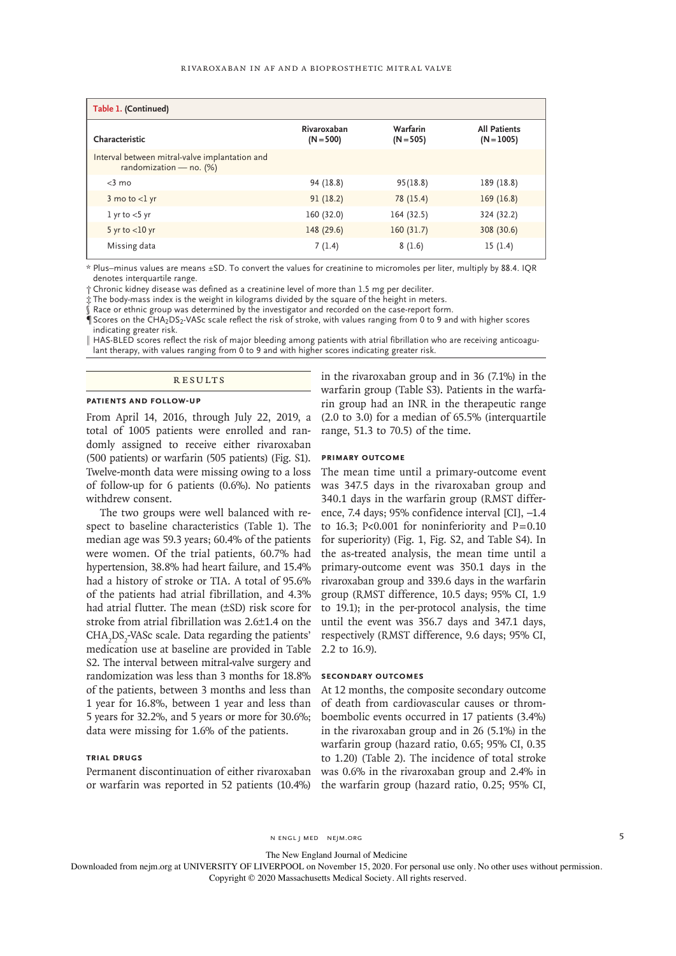| Table 1. (Continued)                                                         |                            |                         |                                     |  |  |
|------------------------------------------------------------------------------|----------------------------|-------------------------|-------------------------------------|--|--|
| Characteristic                                                               | Rivaroxaban<br>$(N = 500)$ | Warfarin<br>$(N = 505)$ | <b>All Patients</b><br>$(N = 1005)$ |  |  |
| Interval between mitral-valve implantation and<br>randomization — no. $(\%)$ |                            |                         |                                     |  |  |
| $<$ 3 mo                                                                     | 94 (18.8)                  | 95(18.8)                | 189 (18.8)                          |  |  |
| $3$ mo to $<$ l yr                                                           | 91(18.2)                   | 78 (15.4)               | 169(16.8)                           |  |  |
| $1$ yr to $<$ 5 yr                                                           | 160 (32.0)                 | 164 (32.5)              | 324 (32.2)                          |  |  |
| 5 yr to $<$ 10 yr                                                            | 148 (29.6)                 | 160(31.7)               | 308 (30.6)                          |  |  |
| Missing data                                                                 | 7(1.4)                     | 8(1.6)                  | 15(1.4)                             |  |  |

\* Plus–minus values are means ±SD. To convert the values for creatinine to micromoles per liter, multiply by 88.4. IQR denotes interquartile range.

† Chronic kidney disease was defined as a creatinine level of more than 1.5 mg per deciliter.

The body-mass index is the weight in kilograms divided by the square of the height in meters.

Race or ethnic group was determined by the investigator and recorded on the case-report form.

¶ Scores on the CHA2DS2-VASc scale reflect the risk of stroke, with values ranging from 0 to 9 and with higher scores indicating greater risk.

HAS-BLED scores reflect the risk of major bleeding among patients with atrial fibrillation who are receiving anticoagulant therapy, with values ranging from 0 to 9 and with higher scores indicating greater risk.

# Results

#### **Patients and Follow-up**

From April 14, 2016, through July 22, 2019, a total of 1005 patients were enrolled and randomly assigned to receive either rivaroxaban (500 patients) or warfarin (505 patients) (Fig. S1). Twelve-month data were missing owing to a loss of follow-up for 6 patients (0.6%). No patients withdrew consent.

The two groups were well balanced with respect to baseline characteristics (Table 1). The median age was 59.3 years; 60.4% of the patients were women. Of the trial patients, 60.7% had hypertension, 38.8% had heart failure, and 15.4% had a history of stroke or TIA. A total of 95.6% of the patients had atrial fibrillation, and 4.3% had atrial flutter. The mean (±SD) risk score for stroke from atrial fibrillation was 2.6±1.4 on the CHA<sub>2</sub>DS<sub>2</sub>-VASc scale. Data regarding the patients' medication use at baseline are provided in Table S2. The interval between mitral-valve surgery and randomization was less than 3 months for 18.8% of the patients, between 3 months and less than 1 year for 16.8%, between 1 year and less than 5 years for 32.2%, and 5 years or more for 30.6%; data were missing for 1.6% of the patients.

# **Trial Drugs**

Permanent discontinuation of either rivaroxaban or warfarin was reported in 52 patients (10.4%)

in the rivaroxaban group and in 36 (7.1%) in the warfarin group (Table S3). Patients in the warfarin group had an INR in the therapeutic range (2.0 to 3.0) for a median of 65.5% (interquartile range, 51.3 to 70.5) of the time.

# **Primary Outcome**

The mean time until a primary-outcome event was 347.5 days in the rivaroxaban group and 340.1 days in the warfarin group (RMST difference, 7.4 days; 95% confidence interval [CI], −1.4 to 16.3; P<0.001 for noninferiority and  $P=0.10$ for superiority) (Fig. 1, Fig. S2, and Table S4). In the as-treated analysis, the mean time until a primary-outcome event was 350.1 days in the rivaroxaban group and 339.6 days in the warfarin group (RMST difference, 10.5 days; 95% CI, 1.9 to 19.1); in the per-protocol analysis, the time until the event was 356.7 days and 347.1 days, respectively (RMST difference, 9.6 days; 95% CI, 2.2 to 16.9).

## **Secondary Outcomes**

At 12 months, the composite secondary outcome of death from cardiovascular causes or thromboembolic events occurred in 17 patients (3.4%) in the rivaroxaban group and in 26 (5.1%) in the warfarin group (hazard ratio, 0.65; 95% CI, 0.35 to 1.20) (Table 2). The incidence of total stroke was 0.6% in the rivaroxaban group and 2.4% in the warfarin group (hazard ratio, 0.25; 95% CI,

n engl j med nejm.org 5

The New England Journal of Medicine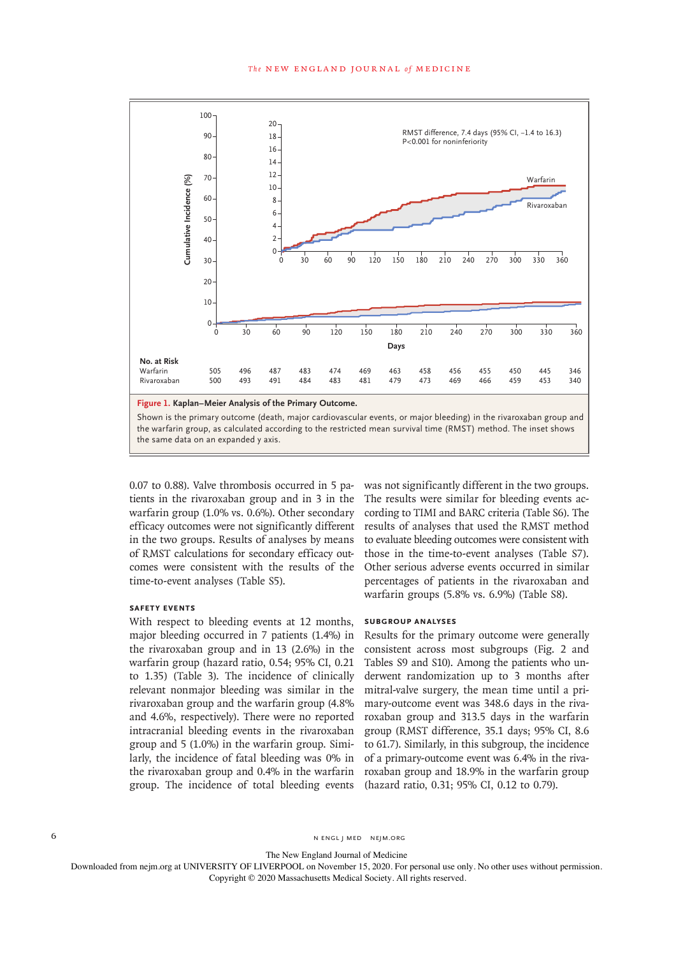

Shown is the primary outcome (death, major cardiovascular events, or major bleeding) in the rivaroxaban group and the warfarin group, as calculated according to the restricted mean survival time (RMST) method. The inset shows

0.07 to 0.88). Valve thrombosis occurred in 5 patients in the rivaroxaban group and in 3 in the warfarin group (1.0% vs. 0.6%). Other secondary efficacy outcomes were not significantly different in the two groups. Results of analyses by means of RMST calculations for secondary efficacy outcomes were consistent with the results of the time-to-event analyses (Table S5).

## **Safety Events**

With respect to bleeding events at 12 months, major bleeding occurred in 7 patients (1.4%) in the rivaroxaban group and in 13 (2.6%) in the warfarin group (hazard ratio, 0.54; 95% CI, 0.21 to 1.35) (Table 3). The incidence of clinically relevant nonmajor bleeding was similar in the rivaroxaban group and the warfarin group (4.8% and 4.6%, respectively). There were no reported intracranial bleeding events in the rivaroxaban group and 5 (1.0%) in the warfarin group. Similarly, the incidence of fatal bleeding was 0% in the rivaroxaban group and 0.4% in the warfarin group. The incidence of total bleeding events was not significantly different in the two groups. The results were similar for bleeding events according to TIMI and BARC criteria (Table S6). The results of analyses that used the RMST method to evaluate bleeding outcomes were consistent with those in the time-to-event analyses (Table S7). Other serious adverse events occurred in similar percentages of patients in the rivaroxaban and warfarin groups (5.8% vs. 6.9%) (Table S8).

# **Subgroup Analyses**

Results for the primary outcome were generally consistent across most subgroups (Fig. 2 and Tables S9 and S10). Among the patients who underwent randomization up to 3 months after mitral-valve surgery, the mean time until a primary-outcome event was 348.6 days in the rivaroxaban group and 313.5 days in the warfarin group (RMST difference, 35.1 days; 95% CI, 8.6 to 61.7). Similarly, in this subgroup, the incidence of a primary-outcome event was 6.4% in the rivaroxaban group and 18.9% in the warfarin group (hazard ratio, 0.31; 95% CI, 0.12 to 0.79).

6 N ENGL J MED NEJM.ORG

The New England Journal of Medicine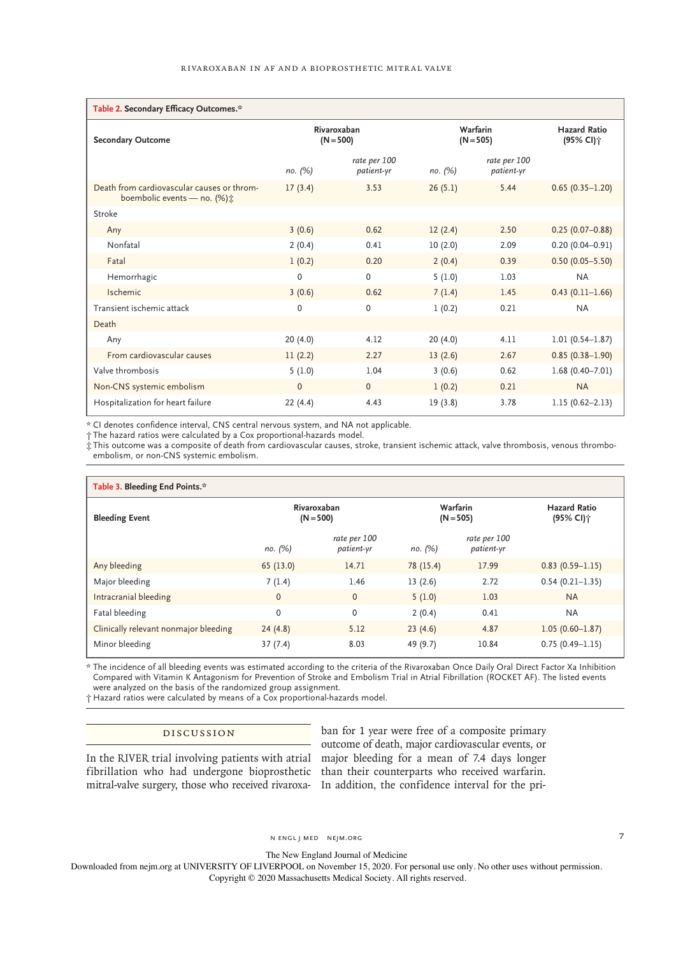# RIVAROXABAN IN AF AND A BIOPROSTHETIC MITRAL VALVE

| Table 2. Secondary Efficacy Outcomes.*                                     |                            |                            |                         |                            |                                              |
|----------------------------------------------------------------------------|----------------------------|----------------------------|-------------------------|----------------------------|----------------------------------------------|
| <b>Secondary Outcome</b>                                                   | Rivaroxaban<br>$(N = 500)$ |                            | Warfarin<br>$(N = 505)$ |                            | <b>Hazard Ratio</b><br>(95% CI) <sup>+</sup> |
|                                                                            | no. (%)                    | rate per 100<br>patient-yr | по. (%)                 | rate per 100<br>patient-yr |                                              |
| Death from cardiovascular causes or throm-<br>boembolic events - no. (%) : | 17(3.4)                    | 3.53                       | 26(5.1)                 | 5.44                       | $0.65(0.35 - 1.20)$                          |
| Stroke                                                                     |                            |                            |                         |                            |                                              |
| Any                                                                        | 3(0.6)                     | 0.62                       | 12(2.4)                 | 2.50                       | $0.25(0.07 - 0.88)$                          |
| Nonfatal                                                                   | 2(0.4)                     | 0.41                       | 10(2.0)                 | 2.09                       | $0.20(0.04 - 0.91)$                          |
| Fatal                                                                      | 1(0.2)                     | 0.20                       | 2(0.4)                  | 0.39                       | $0.50(0.05 - 5.50)$                          |
| Hemorrhagic                                                                | 0                          | $\Omega$                   | 5(1.0)                  | 1.03                       | <b>NA</b>                                    |
| Ischemic                                                                   | 3(0.6)                     | 0.62                       | 7(1.4)                  | 1.45                       | $0.43(0.11-1.66)$                            |
| Transient ischemic attack                                                  | $\mathbf 0$                | $\mathbf{0}$               | 1(0.2)                  | 0.21                       | <b>NA</b>                                    |
| Death                                                                      |                            |                            |                         |                            |                                              |
| Any                                                                        | 20(4.0)                    | 4.12                       | 20(4.0)                 | 4.11                       | $1.01(0.54 - 1.87)$                          |
| From cardiovascular causes                                                 | 11(2.2)                    | 2.27                       | 13(2.6)                 | 2.67                       | $0.85(0.38 - 1.90)$                          |
| Valve thrombosis                                                           | 5(1.0)                     | 1.04                       | 3(0.6)                  | 0.62                       | $1.68(0.40 - 7.01)$                          |
| Non-CNS systemic embolism                                                  | $\Omega$                   | $\Omega$                   | 1(0.2)                  | 0.21                       | <b>NA</b>                                    |
| Hospitalization for heart failure                                          | 22(4.4)                    | 4.43                       | 19(3.8)                 | 3.78                       | $1.15(0.62 - 2.13)$                          |

\* CI denotes confidence interval, CNS central nervous system, and NA not applicable.

† The hazard ratios were calculated by a Cox proportional-hazards model.

‡ This outcome was a composite of death from cardiovascular causes, stroke, transient ischemic attack, valve thrombosis, venous thromboembolism, or non-CNS systemic embolism.

| Table 3. Bleeding End Points.*        |                            |                            |                         |                            |                                              |
|---------------------------------------|----------------------------|----------------------------|-------------------------|----------------------------|----------------------------------------------|
| <b>Bleeding Event</b>                 | Rivaroxaban<br>$(N = 500)$ |                            | Warfarin<br>$(N = 505)$ |                            | <b>Hazard Ratio</b><br>(95% CI) <sup>+</sup> |
|                                       | по. (%)                    | rate per 100<br>patient-yr | no. (%)                 | rate per 100<br>patient-yr |                                              |
| Any bleeding                          | 65 (13.0)                  | 14.71                      | 78 (15.4)               | 17.99                      | $0.83(0.59 - 1.15)$                          |
| Major bleeding                        | 7(1.4)                     | 1.46                       | 13(2.6)                 | 2.72                       | $0.54(0.21 - 1.35)$                          |
| Intracranial bleeding                 | $\mathbf 0$                | $\mathbf 0$                | 5(1.0)                  | 1.03                       | <b>NA</b>                                    |
| Fatal bleeding                        | 0                          | 0                          | 2(0.4)                  | 0.41                       | <b>NA</b>                                    |
| Clinically relevant nonmajor bleeding | 24(4.8)                    | 5.12                       | 23(4.6)                 | 4.87                       | $1.05(0.60 - 1.87)$                          |
| Minor bleeding                        | 37(7.4)                    | 8.03                       | 49 (9.7)                | 10.84                      | $0.75(0.49 - 1.15)$                          |

\* The incidence of all bleeding events was estimated according to the criteria of the Rivaroxaban Once Daily Oral Direct Factor Xa Inhibition Compared with Vitamin K Antagonism for Prevention of Stroke and Embolism Trial in Atrial Fibrillation (ROCKET AF). The listed events were analyzed on the basis of the randomized group assignment.

† Hazard ratios were calculated by means of a Cox proportional-hazards model.

# Discussion

ban for 1 year were free of a composite primary outcome of death, major cardiovascular events, or major bleeding for a mean of 7.4 days longer than their counterparts who received warfarin. In addition, the confidence interval for the pri-

In the RIVER trial involving patients with atrial fibrillation who had undergone bioprosthetic mitral-valve surgery, those who received rivaroxa-

n engl j med nejm.org 7

The New England Journal of Medicine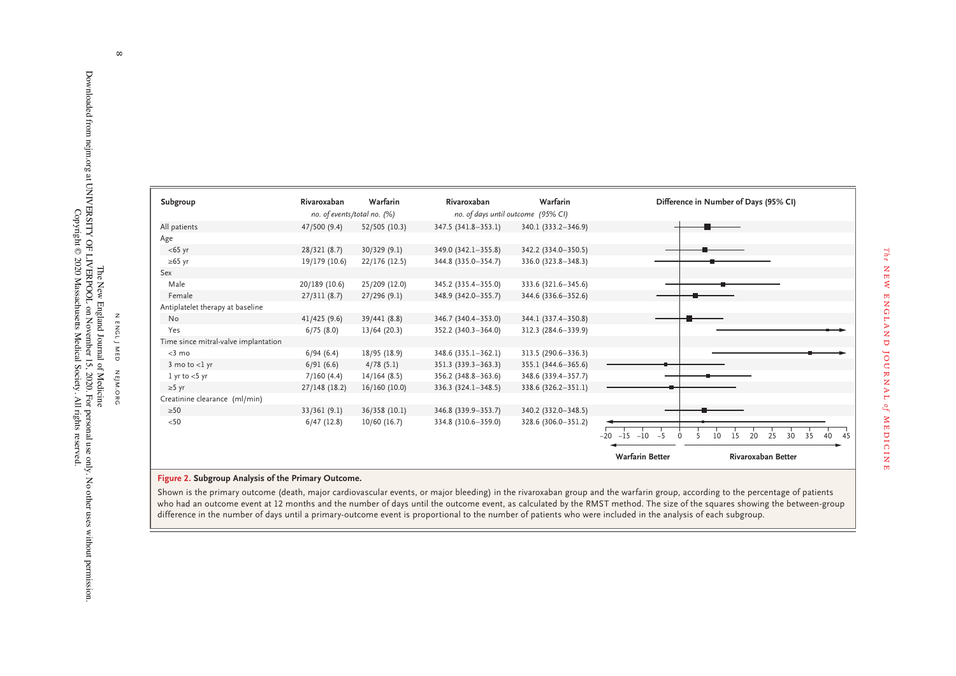| Subgroup                             | Rivaroxaban   | Warfarin                    | Rivaroxaban         | Warfarin                           | Difference in Number of Days (95% CI)                                  |
|--------------------------------------|---------------|-----------------------------|---------------------|------------------------------------|------------------------------------------------------------------------|
|                                      |               | no. of events/total no. (%) |                     | no. of days until outcome (95% CI) |                                                                        |
| All patients                         | 47/500 (9.4)  | 52/505 (10.3)               | 347.5 (341.8-353.1) | 340.1 (333.2-346.9)                |                                                                        |
| Age                                  |               |                             |                     |                                    |                                                                        |
| $<$ 65 yr                            | 28/321(8.7)   | 30/329(9.1)                 | 349.0 (342.1-355.8) | 342.2 (334.0-350.5)                |                                                                        |
| $\geq 65$ yr                         | 19/179 (10.6) | 22/176 (12.5)               | 344.8 (335.0-354.7) | 336.0 (323.8-348.3)                |                                                                        |
| Sex                                  |               |                             |                     |                                    |                                                                        |
| Male                                 | 20/189 (10.6) | 25/209 (12.0)               | 345.2 (335.4-355.0) | 333.6 (321.6-345.6)                |                                                                        |
| Female                               | 27/311(8.7)   | 27/296(9.1)                 | 348.9 (342.0-355.7) | 344.6 (336.6-352.6)                |                                                                        |
| Antiplatelet therapy at baseline     |               |                             |                     |                                    |                                                                        |
| <b>No</b>                            | 41/425(9.6)   | 39/441(8.8)                 | 346.7 (340.4-353.0) | 344.1 (337.4-350.8)                |                                                                        |
| Yes                                  | 6/75(8.0)     | 13/64(20.3)                 | 352.2 (340.3-364.0) | 312.3 (284.6-339.9)                |                                                                        |
| Time since mitral-valve implantation |               |                             |                     |                                    |                                                                        |
| $<$ 3 mo                             | 6/94(6.4)     | 18/95 (18.9)                | 348.6 (335.1-362.1) | 313.5 (290.6-336.3)                |                                                                        |
| $3 \text{ mo}$ to $< l \text{ yr}$   | 6/91(6.6)     | 4/78(5.1)                   | 351.3 (339.3-363.3) | 355.1 (344.6-365.6)                |                                                                        |
| $1$ yr to $<$ 5 yr                   | 7/160(4.4)    | 14/164(8.5)                 | 356.2 (348.8-363.6) | 348.6 (339.4-357.7)                |                                                                        |
| $\geq 5$ yr                          | 27/148 (18.2) | 16/160 (10.0)               | 336.3 (324.1-348.5) | 338.6 (326.2-351.1)                |                                                                        |
| Creatinine clearance (ml/min)        |               |                             |                     |                                    |                                                                        |
| $\geq 50$                            | 33/361(9.1)   | 36/358 (10.1)               | 346.8 (339.9-353.7) | 340.2 (332.0-348.5)                |                                                                        |
| < 50                                 | 6/47(12.8)    | 10/60(16.7)                 | 334.8 (310.6-359.0) | 328.6 (306.0-351.2)                |                                                                        |
|                                      |               |                             |                     |                                    | $-15 -10$<br>$-20$<br>15<br>20<br>30<br>$-5$<br>10<br>25<br>35<br>- 45 |
|                                      |               |                             |                     |                                    |                                                                        |
|                                      |               |                             |                     |                                    | <b>Warfarin Better</b><br>Rivaroxaban Better                           |

### **Figure 2. Subgroup Analysis of the Primary Outcome.**

Shown is the primary outcome (death, major cardiovascular events, or major bleeding) in the rivaroxaban group and the warfarin group, according to the percentage of patients who had an outcome event at 12 months and the number of days until the outcome event, as calculated by the RMST method. The size of the squares showing the between-group difference in the number of days until a primary-outcome event is proportional to the number of patients who were included in the analysis of each subgroup.

The New England Journal of Medicine<br>Downloaded from nejm.org at UNIVERSITY OF LIVERPOOL on November 15, 2020. For personal use only. No other uses without permission.<br>Copyright © 2020 Massachusetts Medical Society. All rig Downloaded from nejm.org at UNIVERSITY OF LIVERPOOL on November 15, 2020. For personal use only. No other uses without permission. Copyright © 2020 Massachusetts Medical Society. All rights reserved. The New England Journal of Medicine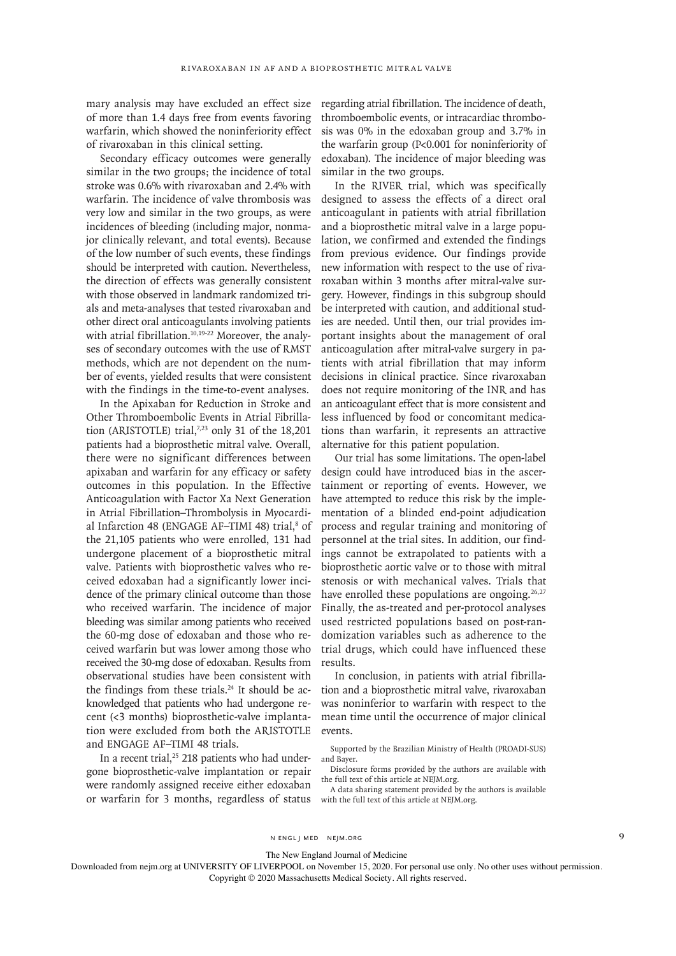mary analysis may have excluded an effect size of more than 1.4 days free from events favoring warfarin, which showed the noninferiority effect of rivaroxaban in this clinical setting.

Secondary efficacy outcomes were generally similar in the two groups; the incidence of total stroke was 0.6% with rivaroxaban and 2.4% with warfarin. The incidence of valve thrombosis was very low and similar in the two groups, as were incidences of bleeding (including major, nonmajor clinically relevant, and total events). Because of the low number of such events, these findings should be interpreted with caution. Nevertheless, the direction of effects was generally consistent with those observed in landmark randomized trials and meta-analyses that tested rivaroxaban and other direct oral anticoagulants involving patients with atrial fibrillation.<sup>10,19-22</sup> Moreover, the analyses of secondary outcomes with the use of RMST methods, which are not dependent on the number of events, yielded results that were consistent with the findings in the time-to-event analyses.

In the Apixaban for Reduction in Stroke and Other Thromboembolic Events in Atrial Fibrillation (ARISTOTLE) trial,<sup>7,23</sup> only 31 of the 18,201 patients had a bioprosthetic mitral valve. Overall, there were no significant differences between apixaban and warfarin for any efficacy or safety outcomes in this population. In the Effective Anticoagulation with Factor Xa Next Generation in Atrial Fibrillation–Thrombolysis in Myocardial Infarction 48 (ENGAGE AF-TIMI 48) trial,<sup>8</sup> of the 21,105 patients who were enrolled, 131 had undergone placement of a bioprosthetic mitral valve. Patients with bioprosthetic valves who received edoxaban had a significantly lower incidence of the primary clinical outcome than those who received warfarin. The incidence of major bleeding was similar among patients who received the 60-mg dose of edoxaban and those who received warfarin but was lower among those who received the 30-mg dose of edoxaban. Results from observational studies have been consistent with the findings from these trials.<sup>24</sup> It should be acknowledged that patients who had undergone recent (<3 months) bioprosthetic-valve implantation were excluded from both the ARISTOTLE and ENGAGE AF–TIMI 48 trials.

In a recent trial,<sup>25</sup> 218 patients who had undergone bioprosthetic-valve implantation or repair were randomly assigned receive either edoxaban or warfarin for 3 months, regardless of status

regarding atrial fibrillation. The incidence of death, thromboembolic events, or intracardiac thrombosis was 0% in the edoxaban group and 3.7% in the warfarin group (P<0.001 for noninferiority of edoxaban). The incidence of major bleeding was similar in the two groups.

In the RIVER trial, which was specifically designed to assess the effects of a direct oral anticoagulant in patients with atrial fibrillation and a bioprosthetic mitral valve in a large population, we confirmed and extended the findings from previous evidence. Our findings provide new information with respect to the use of rivaroxaban within 3 months after mitral-valve surgery. However, findings in this subgroup should be interpreted with caution, and additional studies are needed. Until then, our trial provides important insights about the management of oral anticoagulation after mitral-valve surgery in patients with atrial fibrillation that may inform decisions in clinical practice. Since rivaroxaban does not require monitoring of the INR and has an anticoagulant effect that is more consistent and less influenced by food or concomitant medications than warfarin, it represents an attractive alternative for this patient population.

Our trial has some limitations. The open-label design could have introduced bias in the ascertainment or reporting of events. However, we have attempted to reduce this risk by the implementation of a blinded end-point adjudication process and regular training and monitoring of personnel at the trial sites. In addition, our findings cannot be extrapolated to patients with a bioprosthetic aortic valve or to those with mitral stenosis or with mechanical valves. Trials that have enrolled these populations are ongoing.<sup>26,27</sup> Finally, the as-treated and per-protocol analyses used restricted populations based on post-randomization variables such as adherence to the trial drugs, which could have influenced these results.

In conclusion, in patients with atrial fibrillation and a bioprosthetic mitral valve, rivaroxaban was noninferior to warfarin with respect to the mean time until the occurrence of major clinical events.

Supported by the Brazilian Ministry of Health (PROADI-SUS) and Bayer.

Disclosure forms provided by the authors are available with the full text of this article at NEJM.org.

A data sharing statement provided by the authors is available with the full text of this article at NEJM.org.

n engl j med nejm.org 9

The New England Journal of Medicine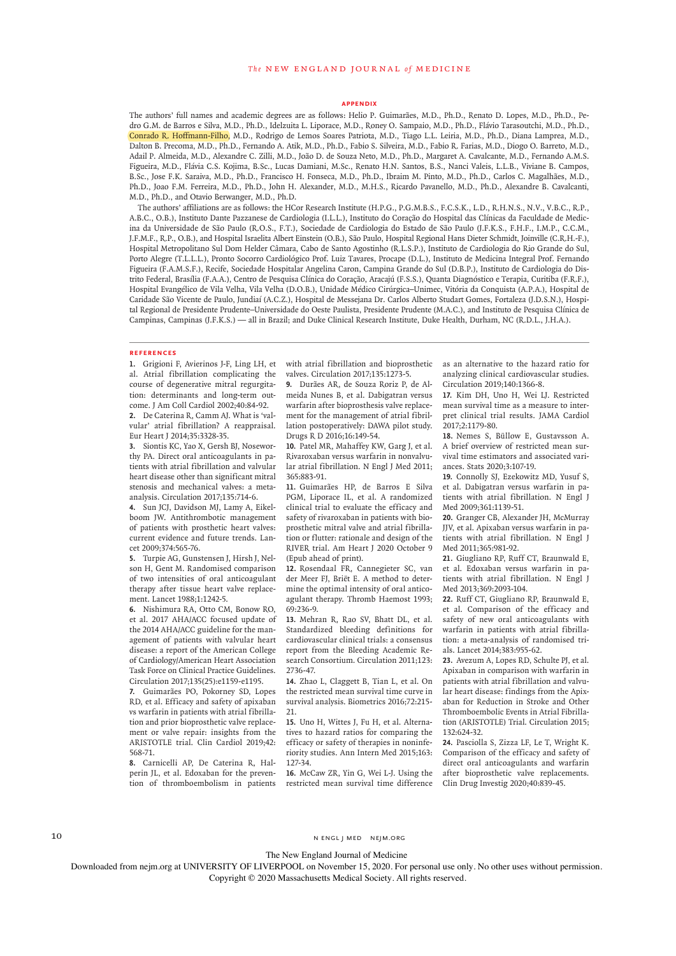#### **The NEW ENGLAND JOURNAL of MEDICINE**

#### **Appendix**

The authors' full names and academic degrees are as follows: Helio P. Guimarães, M.D., Ph.D., Renato D. Lopes, M.D., Ph.D., Pedro G.M. de Barros e Silva, M.D., Ph.D., Idelzuita L. Liporace, M.D., Roney O. Sampaio, M.D., Ph.D., Flávio Tarasoutchi, M.D., Ph.D., Conrado R. Hoffmann-Filho, M.D., Rodrigo de Lemos Soares Patriota, M.D., Tiago L.L. Leiria, M.D., Ph.D., Diana Lamprea, M.D., Dalton B. Precoma, M.D., Ph.D., Fernando A. Atik, M.D., Ph.D., Fabio S. Silveira, M.D., Fabio R. Farias, M.D., Diogo O. Barreto, M.D., Adail P. Almeida, M.D., Alexandre C. Zilli, M.D., João D. de Souza Neto, M.D., Ph.D., Margaret A. Cavalcante, M.D., Fernando A.M.S. Figueira, M.D., Flávia C.S. Kojima, B.Sc., Lucas Damiani, M.Sc., Renato H.N. Santos, B.S., Nanci Valeis, L.L.B., Viviane B. Campos, B.Sc., Jose F.K. Saraiva, M.D., Ph.D., Francisco H. Fonseca, M.D., Ph.D., Ibraim M. Pinto, M.D., Ph.D., Carlos C. Magalhães, M.D., Ph.D., Joao F.M. Ferreira, M.D., Ph.D., John H. Alexander, M.D., M.H.S., Ricardo Pavanello, M.D., Ph.D., Alexandre B. Cavalcanti, M.D., Ph.D., and Otavio Berwanger, M.D., Ph.D.

The authors' affiliations are as follows: the HCor Research Institute (H.P.G., P.G.M.B.S., F.C.S.K., L.D., R.H.N.S., N.V., V.B.C., R.P., A.B.C., O.B.), Instituto Dante Pazzanese de Cardiologia (I.L.L.), Instituto do Coração do Hospital das Clínicas da Faculdade de Medicina da Universidade de São Paulo (R.O.S., F.T.), Sociedade de Cardiologia do Estado de São Paulo (J.F.K.S., F.H.F., I.M.P., C.C.M., J.F.M.F., R.P., O.B.), and Hospital Israelita Albert Einstein (O.B.), São Paulo, Hospital Regional Hans Dieter Schmidt, Joinville (C.R.H.-F.), Hospital Metropolitano Sul Dom Helder Câmara, Cabo de Santo Agostinho (R.L.S.P.), Instituto de Cardiologia do Rio Grande do Sul, Porto Alegre (T.L.L.L.), Pronto Socorro Cardiológico Prof. Luiz Tavares, Procape (D.L.), Instituto de Medicina Integral Prof. Fernando Figueira (F.A.M.S.F.), Recife, Sociedade Hospitalar Angelina Caron, Campina Grande do Sul (D.B.P.), Instituto de Cardiologia do Distrito Federal, Brasília (F.A.A.), Centro de Pesquisa Clínica do Coração, Aracajú (F.S.S.), Quanta Diagnóstico e Terapia, Curitiba (F.R.F.), Hospital Evangélico de Vila Velha, Vila Velha (D.O.B.), Unidade Médico Cirúrgica–Unimec, Vitória da Conquista (A.P.A.), Hospital de Caridade São Vicente de Paulo, Jundiaí (A.C.Z.), Hospital de Messejana Dr. Carlos Alberto Studart Gomes, Fortaleza (J.D.S.N.), Hospital Regional de Presidente Prudente–Universidade do Oeste Paulista, Presidente Prudente (M.A.C.), and Instituto de Pesquisa Clínica de Campinas, Campinas (J.F.K.S.) — all in Brazil; and Duke Clinical Research Institute, Duke Health, Durham, NC (R.D.L., J.H.A.).

#### **References**

**1.** Grigioni F, Avierinos J-F, Ling LH, et al. Atrial fibrillation complicating the course of degenerative mitral regurgitation: determinants and long-term outcome. J Am Coll Cardiol 2002;40:84-92. **2.** De Caterina R, Camm AJ. What is 'val-

vular' atrial fibrillation? A reappraisal. Eur Heart J 2014;35:3328-35.

**3.** Siontis KC, Yao X, Gersh BJ, Noseworthy PA. Direct oral anticoagulants in patients with atrial fibrillation and valvular heart disease other than significant mitral stenosis and mechanical valves: a metaanalysis. Circulation 2017;135:714-6.

**4.** Sun JCJ, Davidson MJ, Lamy A, Eikelboom JW. Antithrombotic management of patients with prosthetic heart valves: current evidence and future trends. Lancet 2009;374:565-76.

**5.** Turpie AG, Gunstensen J, Hirsh J, Nelson H, Gent M. Randomised comparison of two intensities of oral anticoagulant therapy after tissue heart valve replacement. Lancet 1988;1:1242-5.

**6.** Nishimura RA, Otto CM, Bonow RO, et al. 2017 AHA/ACC focused update of the 2014 AHA/ACC guideline for the management of patients with valvular heart disease: a report of the American College of Cardiology/American Heart Association Task Force on Clinical Practice Guidelines. Circulation 2017;135(25):e1159-e1195.

**7.** Guimarães PO, Pokorney SD, Lopes RD, et al. Efficacy and safety of apixaban vs warfarin in patients with atrial fibrillation and prior bioprosthetic valve replacement or valve repair: insights from the ARISTOTLE trial. Clin Cardiol 2019;42: 568-71.

**8.** Carnicelli AP, De Caterina R, Halperin JL, et al. Edoxaban for the prevention of thromboembolism in patients with atrial fibrillation and bioprosthetic valves. Circulation 2017;135:1273-5.

**9.** Durães AR, de Souza Roriz P, de Almeida Nunes B, et al. Dabigatran versus warfarin after bioprosthesis valve replacement for the management of atrial fibrillation postoperatively: DAWA pilot study. Drugs R D 2016;16:149-54.

**10.** Patel MR, Mahaffey KW, Garg J, et al. Rivaroxaban versus warfarin in nonvalvular atrial fibrillation. N Engl J Med 2011; 365:883-91.

**11.** Guimarães HP, de Barros E Silva PGM, Liporace IL, et al. A randomized clinical trial to evaluate the efficacy and safety of rivaroxaban in patients with bioprosthetic mitral valve and atrial fibrillation or flutter: rationale and design of the RIVER trial. Am Heart J 2020 October 9 (Epub ahead of print).

**12.** Rosendaal FR, Cannegieter SC, van der Meer FJ, Briët E. A method to determine the optimal intensity of oral anticoagulant therapy. Thromb Haemost 1993; 69:236-9.

**13.** Mehran R, Rao SV, Bhatt DL, et al. Standardized bleeding definitions for cardiovascular clinical trials: a consensus report from the Bleeding Academic Research Consortium. Circulation 2011;123: 2736-47.

**14.** Zhao L, Claggett B, Tian L, et al. On the restricted mean survival time curve in survival analysis. Biometrics 2016;72:215- 21.

**15.** Uno H, Wittes J, Fu H, et al. Alternatives to hazard ratios for comparing the efficacy or safety of therapies in noninferiority studies. Ann Intern Med 2015;163: 127-34.

**16.** McCaw ZR, Yin G, Wei L-J. Using the restricted mean survival time difference as an alternative to the hazard ratio for analyzing clinical cardiovascular studies. Circulation 2019;140:1366-8.

**17.** Kim DH, Uno H, Wei LJ. Restricted mean survival time as a measure to interpret clinical trial results. JAMA Cardiol 2017;2:1179-80.

**18.** Nemes S, Büllow E, Gustavsson A. A brief overview of restricted mean survival time estimators and associated variances. Stats 2020;3:107-19.

**19.** Connolly SJ, Ezekowitz MD, Yusuf S, et al. Dabigatran versus warfarin in patients with atrial fibrillation. N Engl J Med 2009;361:1139-51.

**20.** Granger CB, Alexander JH, McMurray JJV, et al. Apixaban versus warfarin in patients with atrial fibrillation. N Engl J Med 2011;365:981-92.

**21.** Giugliano RP, Ruff CT, Braunwald E, et al. Edoxaban versus warfarin in patients with atrial fibrillation. N Engl J Med 2013;369:2093-104.

**22.** Ruff CT, Giugliano RP, Braunwald E, et al. Comparison of the efficacy and safety of new oral anticoagulants with warfarin in patients with atrial fibrillation: a meta-analysis of randomised trials. Lancet 2014;383:955-62.

**23.** Avezum A, Lopes RD, Schulte PJ, et al. Apixaban in comparison with warfarin in patients with atrial fibrillation and valvular heart disease: findings from the Apixaban for Reduction in Stroke and Other Thromboembolic Events in Atrial Fibrillation (ARISTOTLE) Trial. Circulation 2015; 132:624-32.

**24.** Pasciolla S, Zizza LF, Le T, Wright K. Comparison of the efficacy and safety of direct oral anticoagulants and warfarin after bioprosthetic valve replacements. Clin Drug Investig 2020;40:839-45.

10 N ENGL J MED NEJM.ORG

The New England Journal of Medicine